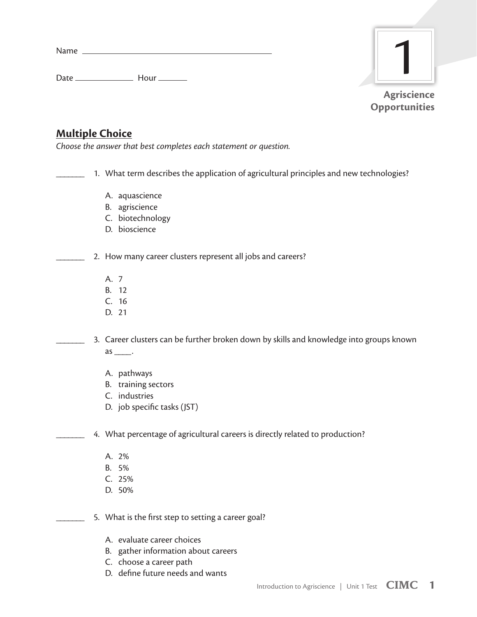Name

Date Hour



## **Multiple Choice**

*Choose the answer that best completes each statement or question.*

1. What term describes the application of agricultural principles and new technologies?

- A. aquascience
- B. agriscience
- C. biotechnology
- D. bioscience

2. How many career clusters represent all jobs and careers?

- A. 7
- B. 12
- C. 16
- D. 21
- 3. Career clusters can be further broken down by skills and knowledge into groups known  $as$  \_\_\_\_\_.
	- A. pathways
	- B. training sectors
	- C. industries
	- D. job specific tasks (JST)

4. What percentage of agricultural careers is directly related to production?

- A. 2%
- B. 5%
- C. 25%
- D. 50%

5. What is the first step to setting a career goal?

- A. evaluate career choices
- B. gather information about careers
- C. choose a career path
- D. define future needs and wants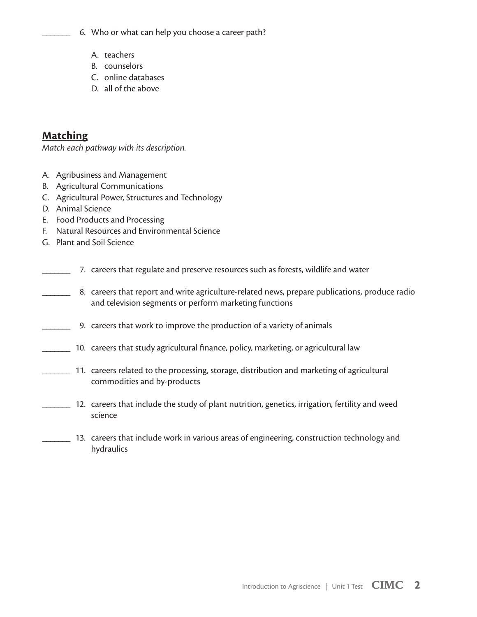- 6. Who or what can help you choose a career path?
	- A. teachers
	- B. counselors
	- C. online databases
	- D. all of the above

## **Matching**

*Match each pathway with its description.*

- A. Agribusiness and Management
- B. Agricultural Communications
- C. Agricultural Power, Structures and Technology
- D. Animal Science
- E. Food Products and Processing
- F. Natural Resources and Environmental Science
- G. Plant and Soil Science
- \_\_\_\_\_\_\_ 7. careers that regulate and preserve resources such as forests, wildlife and water
	- 8. careers that report and write agriculture-related news, prepare publications, produce radio and television segments or perform marketing functions
- 9. careers that work to improve the production of a variety of animals
- \_\_\_\_\_\_\_ 10. careers that study agricultural finance, policy, marketing, or agricultural law
	- \_\_\_\_\_\_\_ 11. careers related to the processing, storage, distribution and marketing of agricultural commodities and by-products
- \_\_\_\_\_\_\_ 12. careers that include the study of plant nutrition, genetics, irrigation, fertility and weed science
- \_\_\_\_\_\_\_ 13. careers that include work in various areas of engineering, construction technology and hydraulics